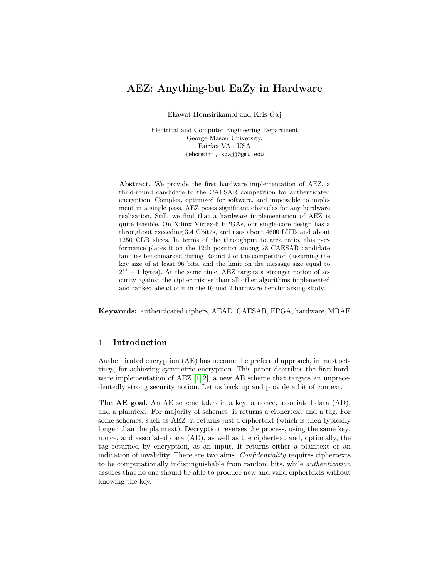# AEZ: Anything-but EaZy in Hardware

Ekawat Homsirikamol and Kris Gaj

Electrical and Computer Engineering Department George Mason University, Fairfax VA , USA {ehomsiri, kgaj}@gmu.edu

Abstract. We provide the first hardware implementation of AEZ, a third-round candidate to the CAESAR competition for authenticated encryption. Complex, optimized for software, and impossible to implement in a single pass, AEZ poses significant obstacles for any hardware realization. Still, we find that a hardware implementation of AEZ is quite feasible. On Xilinx Virtex-6 FPGAs, our single-core design has a throughput exceeding 3.4 Gbit/s, and uses about 4600 LUTs and about 1250 CLB slices. In terms of the throughput to area ratio, this performance places it on the 12th position among 28 CAESAR candidate families benchmarked during Round 2 of the competition (assuming the key size of at least 96 bits, and the limit on the message size equal to  $2^{11} - 1$  bytes). At the same time, AEZ targets a stronger notion of security against the cipher misuse than all other algorithms implemented and ranked ahead of it in the Round 2 hardware benchmarking study.

Keywords: authenticated ciphers, AEAD, CAESAR, FPGA, hardware, MRAE.

# 1 Introduction

Authenticated encryption (AE) has become the preferred approach, in most settings, for achieving symmetric encryption. This paper describes the first hardware implementation of AEZ  $[1, 2]$  $[1, 2]$ , a new AE scheme that targets an unprecedentedly strong security notion. Let us back up and provide a bit of context.

The AE goal. An AE scheme takes in a key, a nonce, associated data (AD), and a plaintext. For majority of schemes, it returns a ciphertext and a tag. For some schemes, such as AEZ, it returns just a ciphertext (which is then typically longer than the plaintext). Decryption reverses the process, using the same key, nonce, and associated data (AD), as well as the ciphertext and, optionally, the tag returned by encryption, as an input. It returns either a plaintext or an indication of invalidity. There are two aims. Confidentiality requires ciphertexts to be computationally indistinguishable from random bits, while authentication assures that no one should be able to produce new and valid ciphertexts without knowing the key.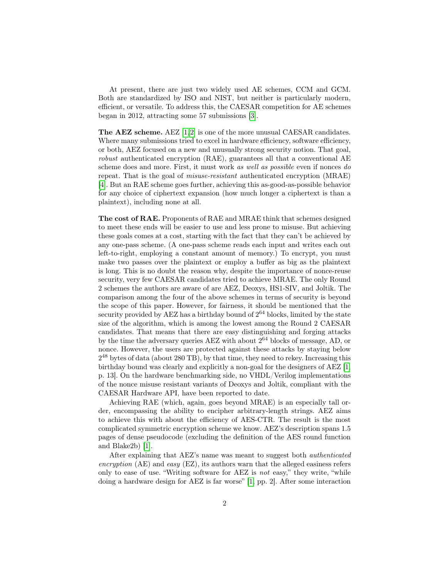At present, there are just two widely used AE schemes, CCM and GCM. Both are standardized by ISO and NIST, but neither is particularly modern, efficient, or versatile. To address this, the CAESAR competition for AE schemes began in 2012, attracting some 57 submissions [\[3\]](#page-17-2).

The AEZ scheme. AEZ [\[1,](#page-17-0)[2\]](#page-17-1) is one of the more unusual CAESAR candidates. Where many submissions tried to excel in hardware efficiency, software efficiency, or both, AEZ focused on a new and unusually strong security notion. That goal, robust authenticated encryption (RAE), guarantees all that a conventional AE scheme does and more. First, it must work as well as possible even if nonces do repeat. That is the goal of misuse-resistant authenticated encryption (MRAE) [\[4\]](#page-17-3). But an RAE scheme goes further, achieving this as-good-as-possible behavior for any choice of ciphertext expansion (how much longer a ciphertext is than a plaintext), including none at all.

The cost of RAE. Proponents of RAE and MRAE think that schemes designed to meet these ends will be easier to use and less prone to misuse. But achieving these goals comes at a cost, starting with the fact that they can't be achieved by any one-pass scheme. (A one-pass scheme reads each input and writes each out left-to-right, employing a constant amount of memory.) To encrypt, you must make two passes over the plaintext or employ a buffer as big as the plaintext is long. This is no doubt the reason why, despite the importance of nonce-reuse security, very few CAESAR candidates tried to achieve MRAE. The only Round 2 schemes the authors are aware of are AEZ, Deoxys, HS1-SIV, and Joltik. The comparison among the four of the above schemes in terms of security is beyond the scope of this paper. However, for fairness, it should be mentioned that the security provided by AEZ has a birthday bound of  $2^{64}$  blocks, limited by the state size of the algorithm, which is among the lowest among the Round 2 CAESAR candidates. That means that there are easy distinguishing and forging attacks by the time the adversary queries AEZ with about 2 <sup>64</sup> blocks of message, AD, or nonce. However, the users are protected against these attacks by staying below 2 <sup>48</sup> bytes of data (about 280 TB), by that time, they need to rekey. Increasing this birthday bound was clearly and explicitly a non-goal for the designers of AEZ [\[1,](#page-17-0) p. 13]. On the hardware benchmarking side, no VHDL/Verilog implementations of the nonce misuse resistant variants of Deoxys and Joltik, compliant with the CAESAR Hardware API, have been reported to date.

Achieving RAE (which, again, goes beyond MRAE) is an especially tall order, encompassing the ability to encipher arbitrary-length strings. AEZ aims to achieve this with about the efficiency of AES-CTR. The result is the most complicated symmetric encryption scheme we know. AEZ's description spans 1.5 pages of dense pseudocode (excluding the definition of the AES round function and Blake2b) [\[1\]](#page-17-0).

After explaining that AEZ's name was meant to suggest both authenticated encryption  $(AE)$  and easy  $(EZ)$ , its authors warn that the alleged easiness refers only to ease of use. "Writing software for AEZ is not easy," they write, "while doing a hardware design for AEZ is far worse" [\[1,](#page-17-0) pp. 2]. After some interaction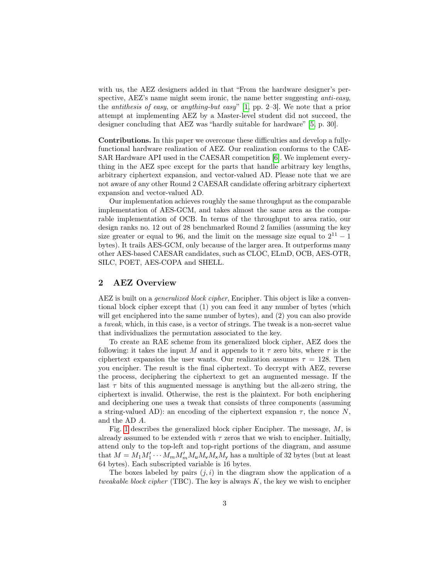with us, the AEZ designers added in that "From the hardware designer's perspective, AEZ's name might seem ironic, the name better suggesting *anti-easy*, the *antithesis of easy*, or *anything-but easy*" [\[1,](#page-17-0) pp. 2–3]. We note that a prior attempt at implementing AEZ by a Master-level student did not succeed, the designer concluding that AEZ was "hardly suitable for hardware" [\[5,](#page-17-4) p. 30].

Contributions. In this paper we overcome these difficulties and develop a fullyfunctional hardware realization of AEZ. Our realization conforms to the CAE-SAR Hardware API used in the CAESAR competition [\[6\]](#page-17-5). We implement everything in the AEZ spec except for the parts that handle arbitrary key lengths, arbitrary ciphertext expansion, and vector-valued AD. Please note that we are not aware of any other Round 2 CAESAR candidate offering arbitrary ciphertext expansion and vector-valued AD.

Our implementation achieves roughly the same throughput as the comparable implementation of AES-GCM, and takes almost the same area as the comparable implementation of OCB. In terms of the throughput to area ratio, our design ranks no. 12 out of 28 benchmarked Round 2 families (assuming the key size greater or equal to 96, and the limit on the message size equal to  $2^{11} - 1$ bytes). It trails AES-GCM, only because of the larger area. It outperforms many other AES-based CAESAR candidates, such as CLOC, ELmD, OCB, AES-OTR, SILC, POET, AES-COPA and SHELL.

# 2 AEZ Overview

AEZ is built on a generalized block cipher, Encipher. This object is like a conventional block cipher except that (1) you can feed it any number of bytes (which will get enciphered into the same number of bytes), and (2) you can also provide a tweak, which, in this case, is a vector of strings. The tweak is a non-secret value that individualizes the permutation associated to the key.

To create an RAE scheme from its generalized block cipher, AEZ does the following: it takes the input M and it appends to it  $\tau$  zero bits, where  $\tau$  is the ciphertext expansion the user wants. Our realization assumes  $\tau = 128$ . Then you encipher. The result is the final ciphertext. To decrypt with AEZ, reverse the process, deciphering the ciphertext to get an augmented message. If the last  $\tau$  bits of this augmented message is anything but the all-zero string, the ciphertext is invalid. Otherwise, the rest is the plaintext. For both enciphering and deciphering one uses a tweak that consists of three components (assuming a string-valued AD): an encoding of the ciphertext expansion  $\tau$ , the nonce N, and the AD A.

Fig. [1](#page-3-0) describes the generalized block cipher Encipher. The message, M, is already assumed to be extended with  $\tau$  zeros that we wish to encipher. Initially, attend only to the top-left and top-right portions of the diagram, and assume that  $M = M_1 M'_1 \cdots M_m M'_m M_u M_v M_x M_y$  has a multiple of 32 bytes (but at least 64 bytes). Each subscripted variable is 16 bytes.

The boxes labeled by pairs  $(j, i)$  in the diagram show the application of a tweakable block cipher (TBC). The key is always  $K$ , the key we wish to encipher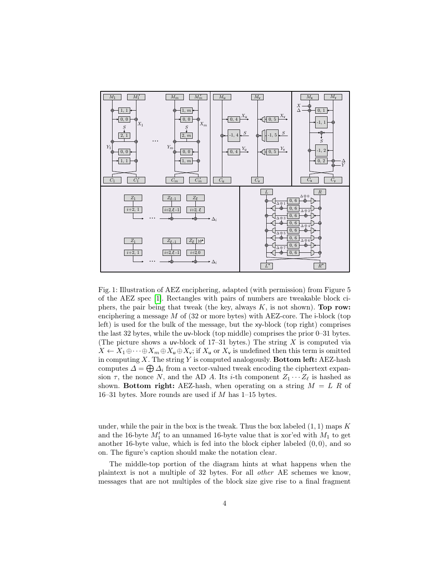<span id="page-3-0"></span>

Fig. 1: Illustration of AEZ enciphering, adapted (with permission) from Figure 5 of the AEZ spec [\[1\]](#page-17-0). Rectangles with pairs of numbers are tweakable block ciphers, the pair being that tweak (the key, always  $K$ , is not shown). **Top row:** enciphering a message  $M$  of (32 or more bytes) with AEZ-core. The i-block (top left) is used for the bulk of the message, but the xy-block (top right) comprises the last 32 bytes, while the uv-block (top middle) comprises the prior 0–31 bytes. (The picture shows a uv-block of  $17-31$  bytes.) The string X is computed via  $X \leftarrow X_1 \oplus \cdots \oplus X_m \oplus X_u \oplus X_v$ ; if  $X_u$  or  $X_v$  is undefined then this term is omitted in computing X. The string Y is computed analogously. **Bottom left:** AEZ-hash computes  $\Delta = \bigoplus \Delta_i$  from a vector-valued tweak encoding the ciphertext expansion  $\tau$ , the nonce N, and the AD A. Its *i*-th component  $Z_1 \cdots Z_\ell$  is hashed as shown. Bottom right: AEZ-hash, when operating on a string  $M = L R$  of 16–31 bytes. More rounds are used if  $M$  has 1–15 bytes.

under, while the pair in the box is the tweak. Thus the box labeled  $(1, 1)$  maps K and the 16-byte  $M'_1$  to an unnamed 16-byte value that is xor'ed with  $M_1$  to get another 16-byte value, which is fed into the block cipher labeled  $(0, 0)$ , and so on. The figure's caption should make the notation clear.

The middle-top portion of the diagram hints at what happens when the plaintext is not a multiple of 32 bytes. For all other AE schemes we know, messages that are not multiples of the block size give rise to a final fragment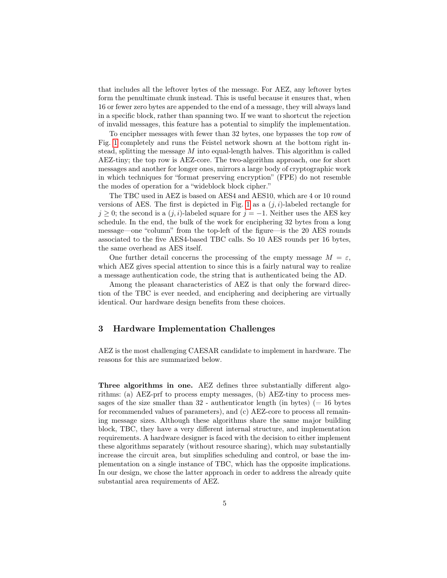that includes all the leftover bytes of the message. For AEZ, any leftover bytes form the penultimate chunk instead. This is useful because it ensures that, when 16 or fewer zero bytes are appended to the end of a message, they will always land in a specific block, rather than spanning two. If we want to shortcut the rejection of invalid messages, this feature has a potential to simplify the implementation.

To encipher messages with fewer than 32 bytes, one bypasses the top row of Fig. [1](#page-3-0) completely and runs the Feistel network shown at the bottom right instead, splitting the message M into equal-length halves. This algorithm is called AEZ-tiny; the top row is AEZ-core. The two-algorithm approach, one for short messages and another for longer ones, mirrors a large body of cryptographic work in which techniques for "format preserving encryption" (FPE) do not resemble the modes of operation for a "wideblock block cipher."

The TBC used in AEZ is based on AES4 and AES10, which are 4 or 10 round versions of AES. The first is depicted in Fig. [1](#page-3-0) as a  $(j, i)$ -labeled rectangle for  $j \geq 0$ ; the second is a  $(j, i)$ -labeled square for  $j = -1$ . Neither uses the AES key schedule. In the end, the bulk of the work for enciphering 32 bytes from a long message—one "column" from the top-left of the figure—is the 20 AES rounds associated to the five AES4-based TBC calls. So 10 AES rounds per 16 bytes, the same overhead as AES itself.

One further detail concerns the processing of the empty message  $M = \varepsilon$ , which AEZ gives special attention to since this is a fairly natural way to realize a message authentication code, the string that is authenticated being the AD.

Among the pleasant characteristics of AEZ is that only the forward direction of the TBC is ever needed, and enciphering and deciphering are virtually identical. Our hardware design benefits from these choices.

# 3 Hardware Implementation Challenges

AEZ is the most challenging CAESAR candidate to implement in hardware. The reasons for this are summarized below.

Three algorithms in one. AEZ defines three substantially different algorithms: (a) AEZ-prf to process empty messages, (b) AEZ-tiny to process messages of the size smaller than  $32$  - authenticator length (in bytes) (= 16 bytes for recommended values of parameters), and (c) AEZ-core to process all remaining message sizes. Although these algorithms share the same major building block, TBC, they have a very different internal structure, and implementation requirements. A hardware designer is faced with the decision to either implement these algorithms separately (without resource sharing), which may substantially increase the circuit area, but simplifies scheduling and control, or base the implementation on a single instance of TBC, which has the opposite implications. In our design, we chose the latter approach in order to address the already quite substantial area requirements of AEZ.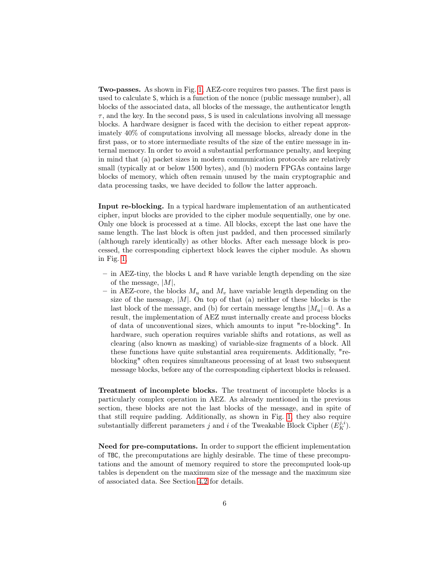Two-passes. As shown in Fig. [1,](#page-3-0) AEZ-core requires two passes. The first pass is used to calculate S, which is a function of the nonce (public message number), all blocks of the associated data, all blocks of the message, the authenticator length  $\tau$ , and the key. In the second pass, S is used in calculations involving all message blocks. A hardware designer is faced with the decision to either repeat approximately 40% of computations involving all message blocks, already done in the first pass, or to store intermediate results of the size of the entire message in internal memory. In order to avoid a substantial performance penalty, and keeping in mind that (a) packet sizes in modern communication protocols are relatively small (typically at or below 1500 bytes), and (b) modern FPGAs contains large blocks of memory, which often remain unused by the main cryptographic and data processing tasks, we have decided to follow the latter approach.

Input re-blocking. In a typical hardware implementation of an authenticated cipher, input blocks are provided to the cipher module sequentially, one by one. Only one block is processed at a time. All blocks, except the last one have the same length. The last block is often just padded, and then processed similarly (although rarely identically) as other blocks. After each message block is processed, the corresponding ciphertext block leaves the cipher module. As shown in Fig. [1,](#page-3-0)

- $-$  in AEZ-tiny, the blocks L and R have variable length depending on the size of the message,  $|M|$ ,
- in AEZ-core, the blocks  $M_u$  and  $M_v$  have variable length depending on the size of the message,  $|M|$ . On top of that (a) neither of these blocks is the last block of the message, and (b) for certain message lengths  $|M_u|=0$ . As a result, the implementation of AEZ must internally create and process blocks of data of unconventional sizes, which amounts to input "re-blocking". In hardware, such operation requires variable shifts and rotations, as well as clearing (also known as masking) of variable-size fragments of a block. All these functions have quite substantial area requirements. Additionally, "reblocking" often requires simultaneous processing of at least two subsequent message blocks, before any of the corresponding ciphertext blocks is released.

Treatment of incomplete blocks. The treatment of incomplete blocks is a particularly complex operation in AEZ. As already mentioned in the previous section, these blocks are not the last blocks of the message, and in spite of that still require padding. Additionally, as shown in Fig. [1,](#page-3-0) they also require substantially different parameters j and i of the Tweakable Block Cipher  $(E_K^{j,i})$ .

Need for pre-computations. In order to support the efficient implementation of TBC, the precomputations are highly desirable. The time of these precomputations and the amount of memory required to store the precomputed look-up tables is dependent on the maximum size of the message and the maximum size of associated data. See Section [4.2](#page-7-0) for details.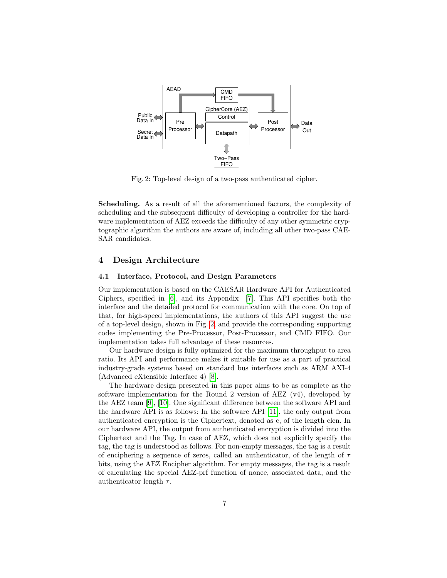<span id="page-6-0"></span>

Fig. 2: Top-level design of a two-pass authenticated cipher.

Scheduling. As a result of all the aforementioned factors, the complexity of scheduling and the subsequent difficulty of developing a controller for the hardware implementation of AEZ exceeds the difficulty of any other symmetric cryptographic algorithm the authors are aware of, including all other two-pass CAE-SAR candidates.

# 4 Design Architecture

# 4.1 Interface, Protocol, and Design Parameters

Our implementation is based on the CAESAR Hardware API for Authenticated Ciphers, specified in [\[6\]](#page-17-5), and its Appendix [\[7\]](#page-17-6). This API specifies both the interface and the detailed protocol for communication with the core. On top of that, for high-speed implementations, the authors of this API suggest the use of a top-level design, shown in Fig. [2,](#page-6-0) and provide the corresponding supporting codes implementing the Pre-Processor, Post-Processor, and CMD FIFO. Our implementation takes full advantage of these resources.

Our hardware design is fully optimized for the maximum throughput to area ratio. Its API and performance makes it suitable for use as a part of practical industry-grade systems based on standard bus interfaces such as ARM AXI-4 (Advanced eXtensible Interface 4) [\[8\]](#page-17-7).

The hardware design presented in this paper aims to be as complete as the software implementation for the Round 2 version of AEZ (v4), developed by the AEZ team [\[9\]](#page-17-8), [\[10\]](#page-17-9). One significant difference between the software API and the hardware API is as follows: In the software API [\[11\]](#page-17-10), the only output from authenticated encryption is the Ciphertext, denoted as c, of the length clen. In our hardware API, the output from authenticated encryption is divided into the Ciphertext and the Tag. In case of AEZ, which does not explicitly specify the tag, the tag is understood as follows. For non-empty messages, the tag is a result of enciphering a sequence of zeros, called an authenticator, of the length of  $\tau$ bits, using the AEZ Encipher algorithm. For empty messages, the tag is a result of calculating the special AEZ-prf function of nonce, associated data, and the authenticator length  $\tau$ .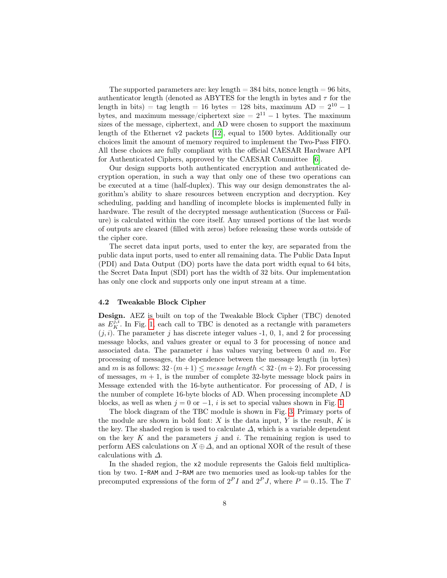The supported parameters are: key length  $=$  384 bits, nonce length  $=$  96 bits, authenticator length (denoted as ABYTES for the length in bytes and  $\tau$  for the length in bits) = tag length = 16 bytes = 128 bits, maximum  $AD = 2^{10} - 1$ bytes, and maximum message/ciphertext size  $= 2^{11} - 1$  bytes. The maximum sizes of the message, ciphertext, and AD were chosen to support the maximum length of the Ethernet v2 packets [\[12\]](#page-17-11), equal to 1500 bytes. Additionally our choices limit the amount of memory required to implement the Two-Pass FIFO. All these choices are fully compliant with the official CAESAR Hardware API for Authenticated Ciphers, approved by the CAESAR Committee [\[6\]](#page-17-5).

Our design supports both authenticated encryption and authenticated decryption operation, in such a way that only one of these two operations can be executed at a time (half-duplex). This way our design demonstrates the algorithm's ability to share resources between encryption and decryption. Key scheduling, padding and handling of incomplete blocks is implemented fully in hardware. The result of the decrypted message authentication (Success or Failure) is calculated within the core itself. Any unused portions of the last words of outputs are cleared (filled with zeros) before releasing these words outside of the cipher core.

The secret data input ports, used to enter the key, are separated from the public data input ports, used to enter all remaining data. The Public Data Input (PDI) and Data Output (DO) ports have the data port width equal to 64 bits, the Secret Data Input (SDI) port has the width of 32 bits. Our implementation has only one clock and supports only one input stream at a time.

#### <span id="page-7-0"></span>4.2 Tweakable Block Cipher

Design. AEZ is built on top of the Tweakable Block Cipher (TBC) denoted as  $E_K^{\overline{j},i}$ . In Fig. [1,](#page-3-0) each call to TBC is denoted as a rectangle with parameters  $(j, i)$ . The parameter j has discrete integer values -1, 0, 1, and 2 for processing message blocks, and values greater or equal to 3 for processing of nonce and associated data. The parameter  $i$  has values varying between 0 and  $m$ . For processing of messages, the dependence between the message length (in bytes) and m is as follows:  $32 \cdot (m+1) \leq$  message length  $<$   $32 \cdot (m+2)$ . For processing of messages,  $m + 1$ , is the number of complete 32-byte message block pairs in Message extended with the 16-byte authenticator. For processing of AD,  $l$  is the number of complete 16-byte blocks of AD. When processing incomplete AD blocks, as well as when  $j = 0$  or  $-1$ , i is set to special values shown in Fig. [1.](#page-3-0)

The block diagram of the TBC module is shown in Fig. [3.](#page-9-0) Primary ports of the module are shown in bold font:  $X$  is the data input,  $Y$  is the result,  $K$  is the key. The shaded region is used to calculate  $\Delta$ , which is a variable dependent on the key  $K$  and the parameters  $j$  and  $i$ . The remaining region is used to perform AES calculations on  $X \oplus \Delta$ , and an optional XOR of the result of these calculations with  $\Delta$ .

In the shaded region, the x2 module represents the Galois field multiplication by two. I-RAM and J-RAM are two memories used as look-up tables for the precomputed expressions of the form of  $2^P I$  and  $2^P J$ , where  $P = 0.15$ . The T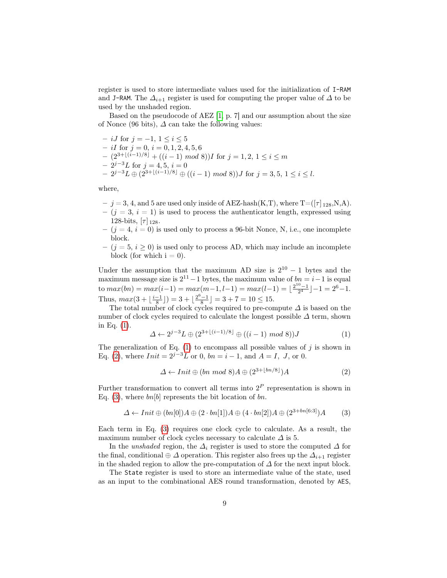register is used to store intermediate values used for the initialization of I-RAM and J-RAM. The  $\Delta_{i+1}$  register is used for computing the proper value of  $\Delta$  to be used by the unshaded region.

Based on the pseudocode of AEZ [\[1,](#page-17-0) p. 7] and our assumption about the size of Nonce (96 bits),  $\Delta$  can take the following values:

 $- iJ$  for  $j = -1, 1 \le i \le 5$  $- iI$  for  $j = 0, i = 0, 1, 2, 4, 5, 6$  $-$  (2<sup>3+[(i-1)/8]</sup> + ((i-1) mod 8))I for j = 1, 2, 1 ≤ i ≤ m  $-2^{j-3}L$  for  $j=4,5, i=0$  $-2^{j-3}L \oplus (2^{3+\lfloor (i-1)/8 \rfloor} \oplus ((i-1) \mod 8))J$  for  $j=3,5, 1 \le i \le l$ .

where,

- $j = j = 3, 4$ , and 5 are used only inside of AEZ-hash(K,T), where T=([ $\tau$ ] 128,N,A).
- $-(j = 3, i = 1)$  is used to process the authenticator length, expressed using 128-bits,  $|\tau|_{128}$ .
- $(- (j = 4, i = 0)$  is used only to process a 96-bit Nonce, N, i.e., one incomplete block.
- $-(j = 5, i \geq 0)$  is used only to process AD, which may include an incomplete block (for which  $i = 0$ ).

Under the assumption that the maximum AD size is  $2^{10} - 1$  bytes and the maximum message size is  $2^{11} - 1$  bytes, the maximum value of  $bn = i - 1$  is equal to  $max(bn) = max(i-1) = max(m-1, l-1) = max(l-1) = \lfloor \frac{2^{10}-1}{2^4} \rfloor - 1 = 2^6 - 1.$ Thus,  $max(3 + \lfloor \frac{i-1}{8} \rfloor) = 3 + \lfloor \frac{2^6 - 1}{8} \rfloor = 3 + 7 = 10 \le 15.$ 

The total number of clock cycles required to pre-compute  $\Delta$  is based on the number of clock cycles required to calculate the longest possible  $\Delta$  term, shown in Eq. [\(1\)](#page-8-0).

<span id="page-8-0"></span>
$$
\Delta \leftarrow 2^{j-3} L \oplus (2^{3 + \lfloor (i-1)/8 \rfloor} \oplus ((i-1) \mod 8))J \tag{1}
$$

The generalization of Eq.  $(1)$  to encompass all possible values of j is shown in Eq. [\(2\)](#page-8-1), where  $Init = 2^{j-3}L$  or 0,  $bn = i - 1$ , and  $A = I$ , J, or 0.

<span id="page-8-2"></span><span id="page-8-1"></span>
$$
\Delta \leftarrow Init \oplus (bn \mod 8)A \oplus (2^{3+\lfloor bn/8 \rfloor})A \tag{2}
$$

Further transformation to convert all terms into  $2^P$  representation is shown in Eq. [\(3\)](#page-8-2), where  $bn[b]$  represents the bit location of bn.

$$
\Delta \leftarrow Init \oplus (bn[0])A \oplus (2 \cdot bn[1])A \oplus (4 \cdot bn[2])A \oplus (2^{3+bn[6:3]})A \tag{3}
$$

Each term in Eq. [\(3\)](#page-8-2) requires one clock cycle to calculate. As a result, the maximum number of clock cycles necessary to calculate  $\Delta$  is 5.

In the unshaded region, the  $\Delta_i$  register is used to store the computed  $\Delta$  for the final, conditional  $\oplus \Delta$  operation. This register also frees up the  $\Delta_{i+1}$  register in the shaded region to allow the pre-computation of  $\Delta$  for the next input block.

The State register is used to store an intermediate value of the state, used as an input to the combinational AES round transformation, denoted by AES,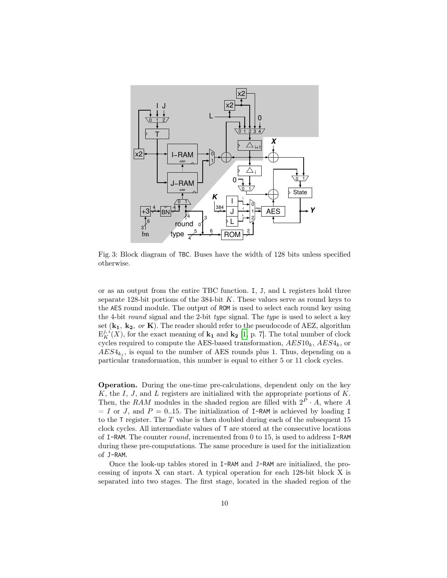<span id="page-9-0"></span>

Fig. 3: Block diagram of TBC. Buses have the width of 128 bits unless specified otherwise.

or as an output from the entire TBC function. I, J, and L registers hold three separate 128-bit portions of the 384-bit  $K$ . These values serve as round keys to the AES round module. The output of ROM is used to select each round key using the 4-bit round signal and the 2-bit type signal. The type is used to select a key set  $(k_1, k_2, or K)$ . The reader should refer to the pseudocode of AEZ, algorithm  $E_K^{j,i}(X)$ , for the exact meaning of  $\mathbf{k}_1$  and  $\mathbf{k}_2$  [\[1,](#page-17-0) p. 7]. The total number of clock cycles required to compute the AES-based transformation,  $AES10_k$ ,  $AES4_k$ , or  $AES4_{k_j}$ , is equal to the number of AES rounds plus 1. Thus, depending on a particular transformation, this number is equal to either 5 or 11 clock cycles.

Operation. During the one-time pre-calculations, dependent only on the key  $K$ , the I, J, and L registers are initialized with the appropriate portions of  $K$ . Then, the RAM modules in the shaded region are filled with  $2^P \cdot A$ , where A  $= I$  or J, and  $P = 0.15$ . The initialization of I-RAM is achieved by loading I to the T register. The  $T$  value is then doubled during each of the subsequent 15 clock cycles. All intermediate values of T are stored at the consecutive locations of I-RAM. The counter round, incremented from 0 to 15, is used to address I-RAM during these pre-computations. The same procedure is used for the initialization of J-RAM.

Once the look-up tables stored in I-RAM and J-RAM are initialized, the processing of inputs X can start. A typical operation for each 128-bit block X is separated into two stages. The first stage, located in the shaded region of the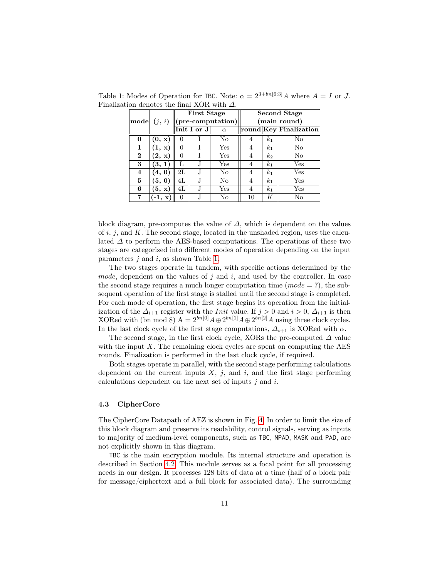|                | (j, i)                          | <b>First Stage</b> |                 |                                                                | <b>Second Stage</b> |                |                        |  |
|----------------|---------------------------------|--------------------|-----------------|----------------------------------------------------------------|---------------------|----------------|------------------------|--|
| $\bold{model}$ |                                 |                    |                 | $\left\langle \text{pre-computation}\right\rangle \right\vert$ | (main round)        |                |                        |  |
|                |                                 |                    | $Init I$ or $J$ | $\alpha$                                                       |                     |                | round Key Finalization |  |
| 0              | (0, x)                          |                    |                 | No                                                             | 4                   | k <sub>1</sub> | No                     |  |
| 1              | (1, x)                          | $\theta$           |                 | $_{\rm Yes}$                                                   | 4                   | $k_1$          | No                     |  |
| $\bf{2}$       | (2, x)                          | 0                  |                 | $_{\rm Yes}$                                                   | 4                   | $k_2$          | No                     |  |
| 3              | (3, 1)                          |                    |                 | Yes                                                            | 4                   | k <sub>1</sub> | Yes                    |  |
| 4              | (4, 0)                          | 2L                 |                 | No                                                             | 4                   | $k_{1}$        | Yes                    |  |
| 5              | (5, 0)                          | 4L                 |                 | No                                                             | 4                   | $k_{1}$        | Yes                    |  |
| 6              | (5, x)                          | 4L                 |                 | Yes                                                            | 4                   | k <sub>1</sub> | Yes                    |  |
| 7              | $\left( -1, \mathbf{x} \right)$ |                    |                 | No                                                             | 10                  |                | No                     |  |

<span id="page-10-0"></span>Table 1: Modes of Operation for TBC. Note:  $\alpha = 2^{3+bn[6:3]}A$  where  $A = I$  or J. Finalization denotes the final XOR with ∆.

block diagram, pre-computes the value of  $\Delta$ , which is dependent on the values of  $i, j$ , and  $K$ . The second stage, located in the unshaded region, uses the calculated  $\Delta$  to perform the AES-based computations. The operations of these two stages are categorized into different modes of operation depending on the input parameters  $j$  and  $i$ , as shown Table [1.](#page-10-0)

The two stages operate in tandem, with specific actions determined by the mode, dependent on the values of  $j$  and  $i$ , and used by the controller. In case the second stage requires a much longer computation time  $(mod = 7)$ , the subsequent operation of the first stage is stalled until the second stage is completed. For each mode of operation, the first stage begins its operation from the initialization of the  $\Delta_{i+1}$  register with the *Init* value. If  $j > 0$  and  $i > 0$ ,  $\Delta_{i+1}$  is then XORed with (bn mod 8)  $A = 2^{bn[0]} A \oplus 2^{bn[1]} A \oplus 2^{bn[2]} A$  using three clock cycles. In the last clock cycle of the first stage computations,  $\Delta_{i+1}$  is XORed with  $\alpha$ .

The second stage, in the first clock cycle, XORs the pre-computed  $\Delta$  value with the input  $X$ . The remaining clock cycles are spent on computing the AES rounds. Finalization is performed in the last clock cycle, if required.

Both stages operate in parallel, with the second stage performing calculations dependent on the current inputs  $X$ ,  $j$ , and  $i$ , and the first stage performing calculations dependent on the next set of inputs  $j$  and  $i$ .

### 4.3 CipherCore

The CipherCore Datapath of AEZ is shown in Fig. [4.](#page-11-0) In order to limit the size of this block diagram and preserve its readability, control signals, serving as inputs to majority of medium-level components, such as TBC, NPAD, MASK and PAD, are not explicitly shown in this diagram.

TBC is the main encryption module. Its internal structure and operation is described in Section [4.2.](#page-7-0) This module serves as a focal point for all processing needs in our design. It processes 128 bits of data at a time (half of a block pair for message/ciphertext and a full block for associated data). The surrounding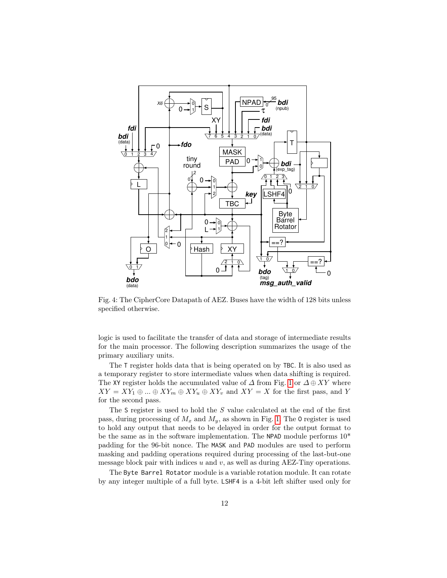<span id="page-11-0"></span>

Fig. 4: The CipherCore Datapath of AEZ. Buses have the width of 128 bits unless specified otherwise.

logic is used to facilitate the transfer of data and storage of intermediate results for the main processor. The following description summarizes the usage of the primary auxiliary units.

The T register holds data that is being operated on by TBC. It is also used as a temporary register to store intermediate values when data shifting is required. The XY register holds the accumulated value of  $\Delta$  from Fig. [1](#page-3-0) or  $\Delta \oplus XY$  where  $XY = XY_1 \oplus ... \oplus XY_m \oplus XY_u \oplus XY_v$  and  $XY = X$  for the first pass, and Y for the second pass.

The S register is used to hold the S value calculated at the end of the first pass, during processing of  $M_x$  and  $M_y$ , as shown in Fig. [1.](#page-3-0) The 0 register is used to hold any output that needs to be delayed in order for the output format to be the same as in the software implementation. The NPAD module performs 10\* padding for the 96-bit nonce. The MASK and PAD modules are used to perform masking and padding operations required during processing of the last-but-one message block pair with indices  $u$  and  $v$ , as well as during AEZ-Tiny operations.

The Byte Barrel Rotator module is a variable rotation module. It can rotate by any integer multiple of a full byte. LSHF4 is a 4-bit left shifter used only for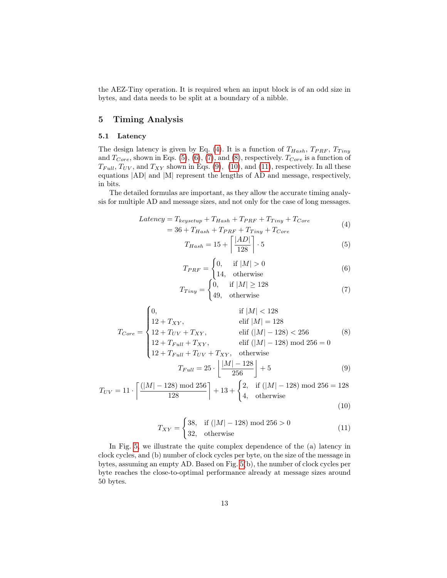the AEZ-Tiny operation. It is required when an input block is of an odd size in bytes, and data needs to be split at a boundary of a nibble.

# 5 Timing Analysis

## 5.1 Latency

The design latency is given by Eq. [\(4\)](#page-12-0). It is a function of  $T_{Hash}$ ,  $T_{PRF}$ ,  $T_{Tiny}$ and  $T_{Core}$ , shown in Eqs. [\(5\)](#page-12-1), [\(6\)](#page-12-2), [\(7\)](#page-12-3), and [\(8\)](#page-12-4), respectively.  $T_{Core}$  is a function of  $T_{Full}, T_{UV}$ , and  $T_{XY}$  shown in Eqs. [\(9\)](#page-12-5), [\(10\)](#page-12-6), and [\(11\)](#page-12-7), respectively. In all these equations |AD| and |M| represent the lengths of AD and message, respectively, in bits.

The detailed formulas are important, as they allow the accurate timing analysis for multiple AD and message sizes, and not only for the case of long messages.

$$
Latency = T_{keysetup} + T_{Hash} + T_{PRF} + T_{Tiny} + T_{Core}
$$
  
= 36 + T<sub>Hash</sub> + T<sub>PRF</sub> + T<sub>Tiny</sub> + T<sub>Core</sub> (4)

<span id="page-12-1"></span><span id="page-12-0"></span>
$$
T_{Hash} = 15 + \left\lceil \frac{|AD|}{128} \right\rceil \cdot 5 \tag{5}
$$

$$
T_{PRF} = \begin{cases} 0, & \text{if } |M| > 0 \\ 14, & \text{otherwise} \end{cases} \tag{6}
$$

$$
T_{Tiny} = \begin{cases} \n\dot{0}, & \text{if } |M| \ge 128 \\ \n49, & \text{otherwise} \n\end{cases} \tag{7}
$$

<span id="page-12-2"></span>
$$
T_{Core} = \begin{cases} 0, & \text{if } |M| < 128 \\ 12 + T_{XY}, & \text{elif } |M| = 128 \\ 12 + T_{UV} + T_{XY}, & \text{elif } (|M| - 128) < 256 \\ 12 + T_{Full} + T_{XY}, & \text{elif } (|M| - 128) \text{ mod } 256 = 0 \end{cases}
$$
(8)

$$
\begin{cases}\n12 + T_{Full} + T_{XY}, & \text{em } (\vert M \vert - \\
12 + T_{Full} + T_{UV} + T_{XY}, & \text{otherwise}\n\end{cases}
$$

$$
T_{Full} = 25 \cdot \left\lfloor \frac{|M| - 128}{256} \right\rfloor + 5 \tag{9}
$$

<span id="page-12-7"></span><span id="page-12-6"></span>
$$
T_{UV} = 11 \cdot \left[ \frac{(|M| - 128) \mod 256}{128} \right] + 13 + \begin{cases} 2, & \text{if } (|M| - 128) \mod 256 = 128 \\ 4, & \text{otherwise} \end{cases} \tag{10}
$$

<span id="page-12-5"></span><span id="page-12-4"></span><span id="page-12-3"></span>
$$
(10)
$$

$$
T_{XY} = \begin{cases} 38, & \text{if } (|M| - 128) \text{ mod } 256 > 0\\ 32, & \text{otherwise} \end{cases}
$$
(11)

In Fig. [5,](#page-13-0) we illustrate the quite complex dependence of the (a) latency in clock cycles, and (b) number of clock cycles per byte, on the size of the message in bytes, assuming an empty AD. Based on Fig. [5\(](#page-13-0)b), the number of clock cycles per byte reaches the close-to-optimal performance already at message sizes around 50 bytes.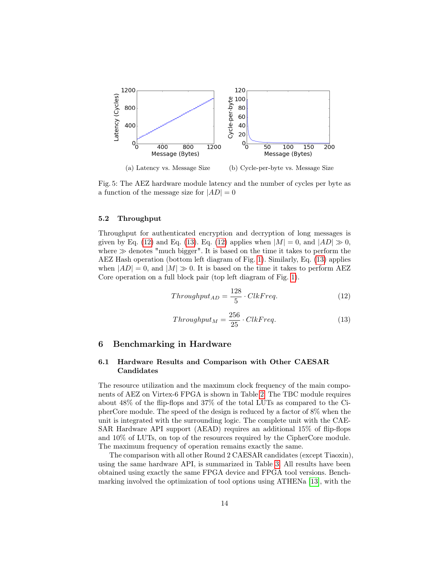<span id="page-13-0"></span>

Fig. 5: The AEZ hardware module latency and the number of cycles per byte as a function of the message size for  $|AD| = 0$ 

#### 5.2 Throughput

<span id="page-13-1"></span>Throughput for authenticated encryption and decryption of long messages is given by Eq. [\(12\)](#page-13-1) and Eq. [\(13\)](#page-13-2). Eq. (12) applies when  $|M| = 0$ , and  $|AD| \gg 0$ , where  $\gg$  denotes "much bigger". It is based on the time it takes to perform the AEZ Hash operation (bottom left diagram of Fig. [1\)](#page-3-0). Similarly, Eq. [\(13\)](#page-13-2) applies when  $|AD| = 0$ , and  $|M| \gg 0$ . It is based on the time it takes to perform AEZ Core operation on a full block pair (top left diagram of Fig. [1\)](#page-3-0).

$$
Throughout_{AD} = \frac{128}{5} \cdot ClkFreq.
$$
 (12)

$$
Throughput_{M} = \frac{256}{25} \cdot ClkFreq.
$$
\n(13)

### <span id="page-13-2"></span>6 Benchmarking in Hardware

### 6.1 Hardware Results and Comparison with Other CAESAR Candidates

The resource utilization and the maximum clock frequency of the main components of AEZ on Virtex-6 FPGA is shown in Table [2.](#page-14-0) The TBC module requires about 48% of the flip-flops and 37% of the total LUTs as compared to the CipherCore module. The speed of the design is reduced by a factor of 8% when the unit is integrated with the surrounding logic. The complete unit with the CAE-SAR Hardware API support (AEAD) requires an additional 15% of flip-flops and 10% of LUTs, on top of the resources required by the CipherCore module. The maximum frequency of operation remains exactly the same.

The comparison with all other Round 2 CAESAR candidates (except Tiaoxin), using the same hardware API, is summarized in Table [3.](#page-16-0) All results have been obtained using exactly the same FPGA device and FPGA tool versions. Benchmarking involved the optimization of tool options using ATHENa [\[13\]](#page-17-12), with the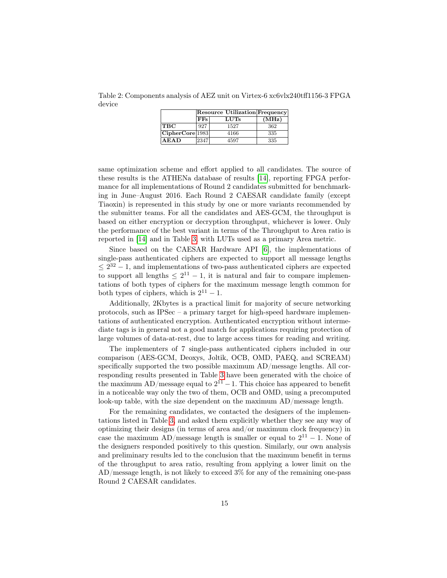<span id="page-14-0"></span>Table 2: Components analysis of AEZ unit on Virtex-6 xc6vlx240tff1156-3 FPGA device

|                           |      | <b>Resource Utilization Frequency</b> |       |  |  |
|---------------------------|------|---------------------------------------|-------|--|--|
|                           | FFs  | <b>LUTs</b>                           | (MHz) |  |  |
| <b>TBC</b>                | 927  | 1527                                  | 362   |  |  |
| $ {\bf CipherCore} 1983 $ |      | 4166                                  | 335   |  |  |
| A EAD                     | 2347 | 4597                                  | 335   |  |  |

same optimization scheme and effort applied to all candidates. The source of these results is the ATHENa database of results [\[14\]](#page-17-13), reporting FPGA performance for all implementations of Round 2 candidates submitted for benchmarking in June–August 2016. Each Round 2 CAESAR candidate family (except Tiaoxin) is represented in this study by one or more variants recommended by the submitter teams. For all the candidates and AES-GCM, the throughput is based on either encryption or decryption throughput, whichever is lower. Only the performance of the best variant in terms of the Throughput to Area ratio is reported in [\[14\]](#page-17-13) and in Table [3,](#page-16-0) with LUTs used as a primary Area metric.

Since based on the CAESAR Hardware API [\[6\]](#page-17-5), the implementations of single-pass authenticated ciphers are expected to support all message lengths  $\leq 2^{32} - 1$ , and implementations of two-pass authenticated ciphers are expected to support all lengths  $\leq 2^{11} - 1$ , it is natural and fair to compare implementations of both types of ciphers for the maximum message length common for both types of ciphers, which is  $2^{11} - 1$ .

Additionally, 2Kbytes is a practical limit for majority of secure networking protocols, such as IPSec – a primary target for high-speed hardware implementations of authenticated encryption. Authenticated encryption without intermediate tags is in general not a good match for applications requiring protection of large volumes of data-at-rest, due to large access times for reading and writing.

The implementers of 7 single-pass authenticated ciphers included in our comparison (AES-GCM, Deoxys, Joltik, OCB, OMD, PAEQ, and SCREAM) specifically supported the two possible maximum AD/message lengths. All corresponding results presented in Table [3](#page-16-0) have been generated with the choice of the maximum AD/message equal to  $2^{11} - 1$ . This choice has appeared to benefit in a noticeable way only the two of them, OCB and OMD, using a precomputed look-up table, with the size dependent on the maximum AD/message length.

For the remaining candidates, we contacted the designers of the implementations listed in Table [3,](#page-16-0) and asked them explicitly whether they see any way of optimizing their designs (in terms of area and/or maximum clock frequency) in case the maximum AD/message length is smaller or equal to  $2^{11} - 1$ . None of the designers responded positively to this question. Similarly, our own analysis and preliminary results led to the conclusion that the maximum benefit in terms of the throughput to area ratio, resulting from applying a lower limit on the AD/message length, is not likely to exceed 3% for any of the remaining one-pass Round 2 CAESAR candidates.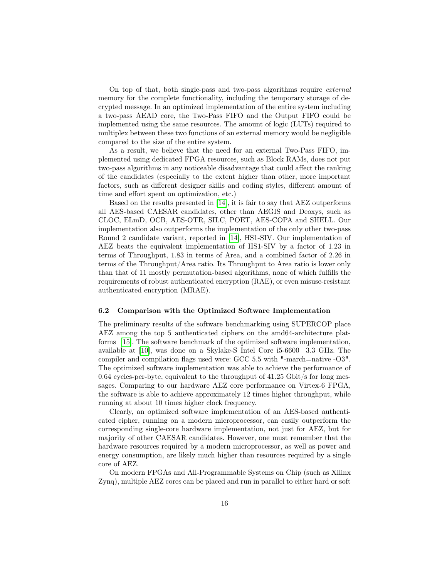On top of that, both single-pass and two-pass algorithms require external memory for the complete functionality, including the temporary storage of decrypted message. In an optimized implementation of the entire system including a two-pass AEAD core, the Two-Pass FIFO and the Output FIFO could be implemented using the same resources. The amount of logic (LUTs) required to multiplex between these two functions of an external memory would be negligible compared to the size of the entire system.

As a result, we believe that the need for an external Two-Pass FIFO, implemented using dedicated FPGA resources, such as Block RAMs, does not put two-pass algorithms in any noticeable disadvantage that could affect the ranking of the candidates (especially to the extent higher than other, more important factors, such as different designer skills and coding styles, different amount of time and effort spent on optimization, etc.)

Based on the results presented in [\[14\]](#page-17-13), it is fair to say that AEZ outperforms all AES-based CAESAR candidates, other than AEGIS and Deoxys, such as CLOC, ELmD, OCB, AES-OTR, SILC, POET, AES-COPA and SHELL. Our implementation also outperforms the implementation of the only other two-pass Round 2 candidate variant, reported in [\[14\]](#page-17-13), HS1-SIV. Our implementation of AEZ beats the equivalent implementation of HS1-SIV by a factor of 1.23 in terms of Throughput, 1.83 in terms of Area, and a combined factor of 2.26 in terms of the Throughput/Area ratio. Its Throughput to Area ratio is lower only than that of 11 mostly permutation-based algorithms, none of which fulfills the requirements of robust authenticated encryption (RAE), or even misuse-resistant authenticated encryption (MRAE).

#### 6.2 Comparison with the Optimized Software Implementation

The preliminary results of the software benchmarking using SUPERCOP place AEZ among the top 5 authenticated ciphers on the amd64-architecture platforms [\[15\]](#page-17-14). The software benchmark of the optimized software implementation, available at [\[10\]](#page-17-9), was done on a Skylake-S Intel Core i5-6600 3.3 GHz. The compiler and compilation flags used were: GCC 5.5 with "-march=native -O3". The optimized software implementation was able to achieve the performance of 0.64 cycles-per-byte, equivalent to the throughput of  $41.25$  Gbit/s for long messages. Comparing to our hardware AEZ core performance on Virtex-6 FPGA, the software is able to achieve approximately 12 times higher throughput, while running at about 10 times higher clock frequency.

Clearly, an optimized software implementation of an AES-based authenticated cipher, running on a modern microprocessor, can easily outperform the corresponding single-core hardware implementation, not just for AEZ, but for majority of other CAESAR candidates. However, one must remember that the hardware resources required by a modern microprocessor, as well as power and energy consumption, are likely much higher than resources required by a single core of AEZ.

On modern FPGAs and All-Programmable Systems on Chip (such as Xilinx Zynq), multiple AEZ cores can be placed and run in parallel to either hard or soft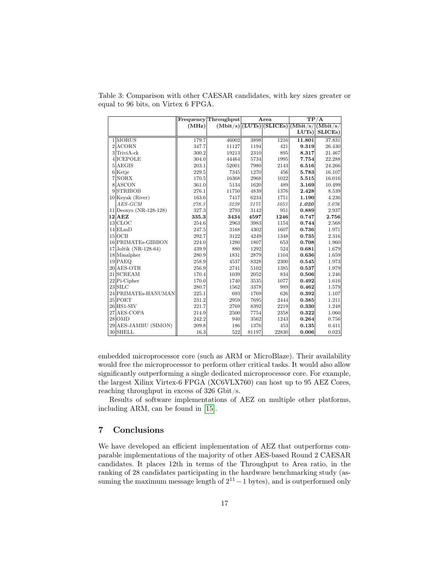|                               |       | Frequency Throughput | Area  |                                                      | TP/A   |                      |
|-------------------------------|-------|----------------------|-------|------------------------------------------------------|--------|----------------------|
|                               | (MHz) |                      |       | $(Mbit/s)$ $(LUTs)$ $(SLICEs)$ $(Mbit/s)$ $(Mbit/s)$ |        |                      |
|                               |       |                      |       |                                                      | LUTs)  | SLICE <sub>s</sub> ) |
| $1$ MORUS                     | 179.7 | 46002                | 3898  | 1216                                                 | 11.801 | 37.831               |
| 2 ACORN                       | 347.7 | 11127                | 1194  | 421                                                  | 9.319  | 26.430               |
| $3$ TriviA-ck                 | 300.2 | 19213                | 2310  | 895                                                  | 8.317  | 21.467               |
| 4 ICEPOLE                     | 304.0 | 44464                | 5734  | 1995                                                 | 7.754  | 22.288               |
| $5 {\rm AEGIS}$               | 203.1 | 52001                | 7980  | 2143                                                 | 6.516  | 24.266               |
| 6 Ketje                       | 229.5 | 7345                 | 1270  | 456                                                  | 5.783  | 16.107               |
| 7 NORX                        | 170.5 | 16368                | 2968  | 1022                                                 | 5.515  | 16.016               |
| 8 ASCON                       | 361.0 | 5134                 | 1620  | 489                                                  | 3.169  | 10.499               |
| 9STRIBOB                      | 276.1 | 11750                | 4839  | 1376                                                 | 2.428  | 8.539                |
| $10$ <sup>Kevak</sup> (River) | 163.6 | 7417                 | 6234  | 1751                                                 | 1.190  | 4.236                |
| $AES-GCM$                     | 278.3 | 3239                 | 3175  | 1053                                                 | 1.020  | 3.076                |
| $11 $ Deoxys (NR-128-128)     | 327.3 | 2793                 | 3142  | 951                                                  | 0.889  | 2.937                |
| $12 {\rm AEZ}$                | 335.3 | 3434                 | 4597  | 1246                                                 | 0.747  | 2.756                |
| $13 $ CLOC                    | 254.6 | 2963                 | 3983  | 1154                                                 | 0.744  | 2.568                |
| $14$ ELmD                     | 247.5 | 3168                 | 4302  | 1607                                                 | 0.736  | 1.971                |
| $15$ OCB                      | 292.7 | 3122                 | 4249  | 1348                                                 | 0.735  | 2.316                |
| 16 PRIMATEs-GIBBON            | 224.0 | 1280                 | 1807  | 653                                                  | 0.708  | 1.960                |
| 17 Joltik (NR-128-64)         | 439.9 | 880                  | 1292  | 524                                                  | 0.681  | 1.679                |
| $18$ Minalpher                | 280.9 | 1831                 | 2879  | 1104                                                 | 0.636  | 1.659                |
| 19 PAEQ                       | 258.9 | 4537                 | 8328  | 2300                                                 | 0.545  | 1.973                |
| 20 AES-OTR                    | 256.9 | 2741                 | 5102  | 1385                                                 | 0.537  | 1.979                |
| 21 SCREAM                     | 170.4 | 1039                 | 2052  | 834                                                  | 0.506  | 1.246                |
| 22 Pi-Cipher                  | 170.0 | 1740                 | 3535  | 1077                                                 | 0.492  | 1.616                |
| $23 $ SILC                    | 280.7 | 1562                 | 3378  | 989                                                  | 0.462  | 1.579                |
| 24 PRIMATEs-HANUMAN           | 225.1 | 693                  | 1769  | 626                                                  | 0.392  | 1.107                |
| $25$ POET                     | 231.2 | 2959                 | 7695  | 2444                                                 | 0.385  | 1.211                |
| $26 $ HS1-SIV                 | 221.7 | 2769                 | 8392  | 2219                                                 | 0.330  | 1.248                |
| 27 AES-COPA                   | 214.9 | 2500                 | 7754  | 2358                                                 | 0.322  | 1.060                |
| $28$ OMD                      | 242.2 | 940                  | 3562  | 1243                                                 | 0.264  | 0.756                |
| 29 AES-JAMBU (SIMON)          | 209.8 | 186                  | 1376  | 453                                                  | 0.135  | 0.411                |
| 30 SHELL                      | 16.3  | 522                  | 81197 | 22830                                                | 0.006  | 0.023                |

<span id="page-16-0"></span>Table 3: Comparison with other CAESAR candidates, with key sizes greater or equal to 96 bits, on Virtex 6 FPGA.

embedded microprocessor core (such as ARM or MicroBlaze). Their availability would free the microprocessor to perform other critical tasks. It would also allow significantly outperforming a single dedicated microprocessor core. For example, the largest Xilinx Virtex-6 FPGA (XC6VLX760) can host up to 95 AEZ Cores, reaching throughput in excess of 326 Gbit/s.

Results of software implementations of AEZ on multiple other platforms, including ARM, can be found in [\[15\]](#page-17-14).

# 7 Conclusions

We have developed an efficient implementation of AEZ that outperforms comparable implementations of the majority of other AES-based Round 2 CAESAR candidates. It places 12th in terms of the Throughput to Area ratio, in the ranking of 28 candidates participating in the hardware benchmarking study (assuming the maximum message length of  $2^{11} - 1$  bytes), and is outperformed only